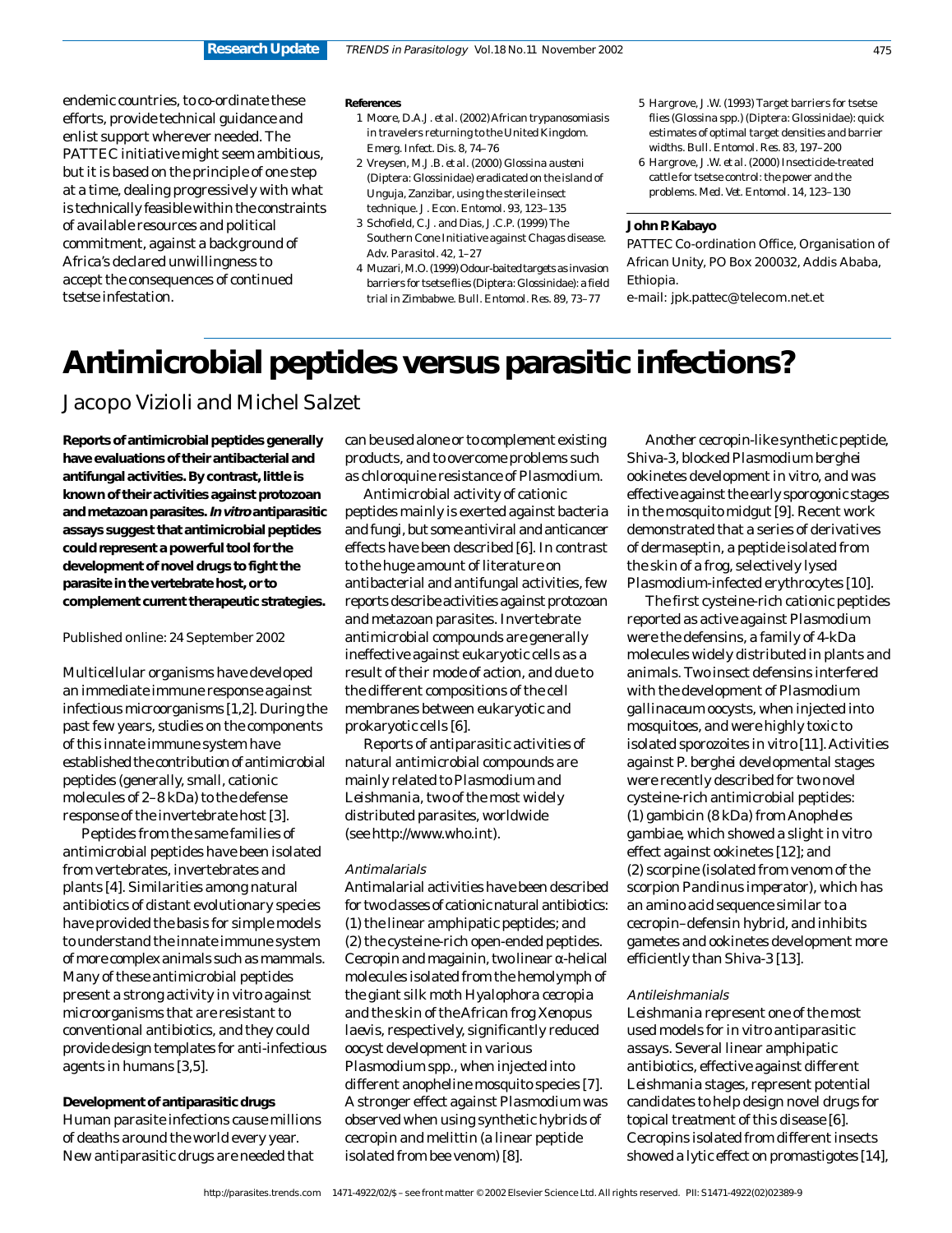endemic countries, to co-ordinate these efforts, provide technical guidance and enlist support wherever needed. The PATTEC initiative might seem ambitious, but it is based on the principle of one step at a time, dealing progressively with what is technically feasible within the constraints of available resources and political commitment, against a background of Africa's declared unwillingness to accept the consequences of continued tsetse infestation.

#### **References**

- 1 Moore, D.A.J. *et al.* (2002) African trypanosomiasis in travelers returning to the United Kingdom. *Emerg. Infect. Dis.* 8, 74–76
- 2 Vreysen, M.J.B. *et al.* (2000) *Glossina austeni* (Diptera: Glossinidae) eradicated on the island of Unguja, Zanzibar, using the sterile insect technique. *J. Econ. Entomol.* 93, 123–135
- 3 Schofield, C.J. and Dias, J.C.P. (1999) The Southern Cone Initiative against Chagas disease. *Adv. Parasitol.* 42, 1–27
- 4 Muzari, M.O. (1999) Odour-baited targets as invasion barriers for tsetse flies (Diptera: Glossinidae): a field trial in Zimbabwe. *Bull. Entomol. Res.* 89, 73–77
- 5 Hargrove, J.W. (1993) Target barriers for tsetse flies (*Glossina* spp.) (Diptera: Glossinidae): quick estimates of optimal target densities and barrier widths. *Bull. Entomol. Res.* 83, 197–200
- 6 Hargrove, J.W. *et al.* (2000) Insecticide-treated cattle for tsetse control: the power and the problems. *Med. Vet. Entomol.* 14, 123–130

# **John P. Kabayo**

PATTEC Co-ordination Office, Organisation of African Unity, PO Box 200032, Addis Ababa, Ethiopia.

e-mail: jpk.pattec@telecom.net.et

# **Antimicrobial peptides versus parasitic infections?**

Jacopo Vizioli and Michel Salzet

**Reports of antimicrobial peptides generally have evaluations of their antibacterial and antifungal activities. By contrast, little is known of their activities against protozoan and metazoan parasites. In vitro antiparasitic assays suggest that antimicrobial peptides could represent a powerful tool for the development of novel drugs to fight the parasite in the vertebrate host, or to complement current therapeutic strategies.**

Published online: 24 September 2002

Multicellular organisms have developed an immediate immune response against infectious microorganisms [1,2]. During the past few years, studies on the components of this innate immune system have established the contribution of antimicrobial peptides (generally, small, cationic molecules of 2–8 kDa) to the defense response of the invertebrate host [3].

Peptides from the same families of antimicrobial peptides have been isolated from vertebrates, invertebrates and plants [4]. Similarities among natural antibiotics of distant evolutionary species have provided the basis for simple models to understand the innate immune system of more complex animals such as mammals. Many of these antimicrobial peptides present a strong activity *in vitro* against microorganisms that are resistant to conventional antibiotics, and they could provide design templates for anti-infectious agents in humans [3,5].

**Development of antiparasitic drugs** Human parasite infections cause millions of deaths around the world every year. New antiparasitic drugs are needed that

can be used alone or to complement existing products, and to overcome problems such as chloroquine resistance of *Plasmodium*.

Antimicrobial activity of cationic peptides mainly is exerted against bacteria and fungi, but some antiviral and anticancer effects have been described [6]. In contrast to the huge amount of literature on antibacterial and antifungal activities, few reports describe activities against protozoan and metazoan parasites. Invertebrate antimicrobial compounds are generally ineffective against eukaryotic cells as a result of their mode of action, and due to the different compositions of the cell membranes between eukaryotic and prokaryotic cells [6].

Reports of antiparasitic activities of natural antimicrobial compounds are mainly related to *Plasmodium* and *Leishmania*, two of the most widely distributed parasites, worldwide (see http://www.who.int).

# Antimalarials

Antimalarial activities have been described for two classes of cationic natural antibiotics: (1) the linear amphipatic peptides; and (2) the cysteine-rich open-ended peptides. Cecropin and magainin, two linear α-helical molecules isolated from the hemolymph of the giant silk moth *Hyalophora cecropia* and the skin of the African frog *Xenopus laevis*, respectively, significantly reduced oocyst development in various *Plasmodium* spp., when injected into different anopheline mosquito species [7]. A stronger effect against *Plasmodium* was observed when using synthetic hybrids of cecropin and melittin (a linear peptide isolated from bee venom) [8].

Another cecropin-like synthetic peptide, Shiva-3, blocked *Plasmodium berghei* ookinetes development *in vitro*, and was effective against the early sporogonic stages in the mosquito midgut [9]. Recent work demonstrated that a series of derivatives of dermaseptin, a peptide isolated from the skin of a frog, selectively lysed *Plasmodium*-infected erythrocytes [10].

The first cysteine-rich cationic peptides reported as active against *Plasmodium* were the defensins, a family of 4-kDa molecules widely distributed in plants and animals. Two insect defensins interfered with the development of *Plasmodium gallinaceum* oocysts, when injected into mosquitoes, and were highly toxic to isolated sporozoites *in vitro* [11]. Activities against *P. berghei* developmental stages were recently described for two novel cysteine-rich antimicrobial peptides: (1) gambicin (8 kDa) from *Anopheles gambiae*, which showed a slight *in vitro* effect against ookinetes [12]; and (2) scorpine (isolated from venom of the scorpion *Pandinus imperator*), which has an amino acid sequence similar to a cecropin–defensin hybrid, and inhibits gametes and ookinetes development more efficiently than Shiva-3 [13].

# Antileishmanials

*Leishmania* represent one of the most used models for *in vitro* antiparasitic assays. Several linear amphipatic antibiotics, effective against different *Leishmania* stages, represent potential candidates to help design novel drugs for topical treatment of this disease [6]. Cecropins isolated from different insects showed a lytic effect on promastigotes [14],